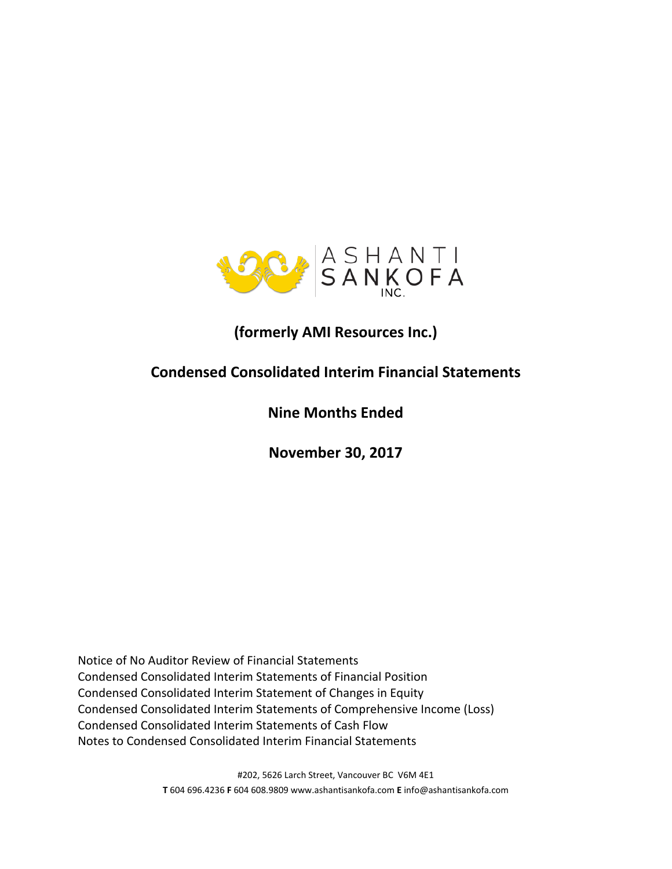

# **(formerly AMI Resources Inc.)**

# **Condensed Consolidated Interim Financial Statements**

# **Nine Months Ended**

**November 30, 2017**

Notice of No Auditor Review of Financial Statements Condensed Consolidated Interim Statements of Financial Position Condensed Consolidated Interim Statement of Changes in Equity Condensed Consolidated Interim Statements of Comprehensive Income (Loss) Condensed Consolidated Interim Statements of Cash Flow Notes to Condensed Consolidated Interim Financial Statements

> #202, 5626 Larch Street, Vancouver BC V6M 4E1 **T** 604 696.4236 **F** 604 608.9809 www.ashantisankofa.com **E** info@ashantisankofa.com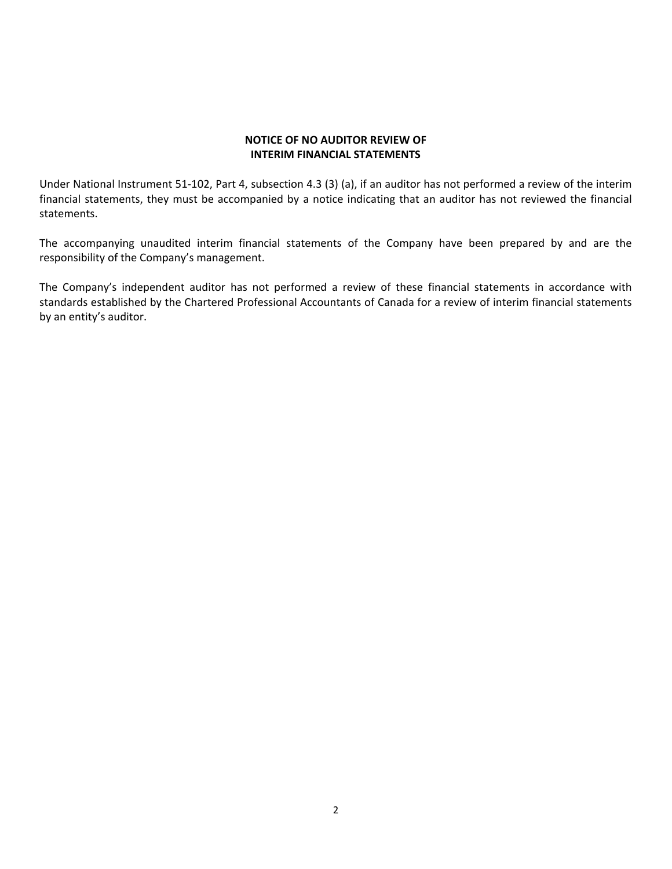## **NOTICE OF NO AUDITOR REVIEW OF INTERIM FINANCIAL STATEMENTS**

Under National Instrument 51-102, Part 4, subsection 4.3 (3) (a), if an auditor has not performed a review of the interim financial statements, they must be accompanied by a notice indicating that an auditor has not reviewed the financial statements.

The accompanying unaudited interim financial statements of the Company have been prepared by and are the responsibility of the Company's management.

The Company's independent auditor has not performed a review of these financial statements in accordance with standards established by the Chartered Professional Accountants of Canada for a review of interim financial statements by an entity's auditor.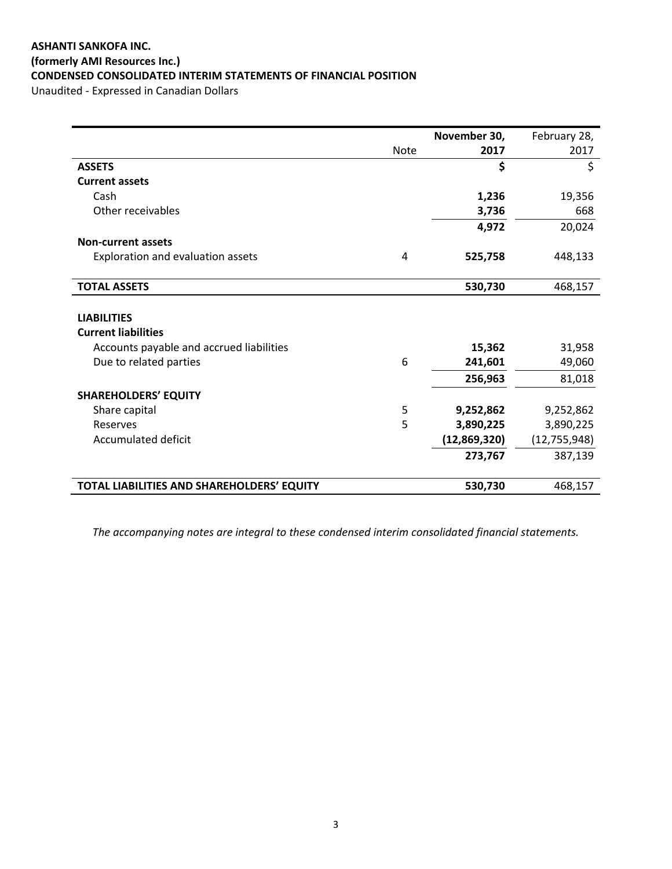# **ASHANTI SANKOFA INC. (formerly AMI Resources Inc.) CONDENSED CONSOLIDATED INTERIM STATEMENTS OF FINANCIAL POSITION**

Unaudited - Expressed in Canadian Dollars

|                                            |             | November 30, | February 28,   |
|--------------------------------------------|-------------|--------------|----------------|
|                                            | <b>Note</b> | 2017         | 2017           |
| <b>ASSETS</b>                              |             | \$           | \$             |
| <b>Current assets</b>                      |             |              |                |
| Cash                                       |             | 1,236        | 19,356         |
| Other receivables                          |             | 3,736        | 668            |
|                                            |             | 4,972        | 20,024         |
| <b>Non-current assets</b>                  |             |              |                |
| Exploration and evaluation assets          | 4           | 525,758      | 448,133        |
|                                            |             |              |                |
| <b>TOTAL ASSETS</b>                        |             | 530,730      | 468,157        |
|                                            |             |              |                |
| <b>LIABILITIES</b>                         |             |              |                |
| <b>Current liabilities</b>                 |             |              |                |
| Accounts payable and accrued liabilities   |             | 15,362       | 31,958         |
| Due to related parties                     | 6           | 241,601      | 49,060         |
|                                            |             | 256,963      | 81,018         |
| <b>SHAREHOLDERS' EQUITY</b>                |             |              |                |
| Share capital                              | 5           | 9,252,862    | 9,252,862      |
| Reserves                                   | 5           | 3,890,225    | 3,890,225      |
| Accumulated deficit                        |             | (12,869,320) | (12, 755, 948) |
|                                            |             | 273,767      | 387,139        |
|                                            |             |              |                |
| TOTAL LIABILITIES AND SHAREHOLDERS' EQUITY |             | 530,730      | 468,157        |

*The accompanying notes are integral to these condensed interim consolidated financial statements.*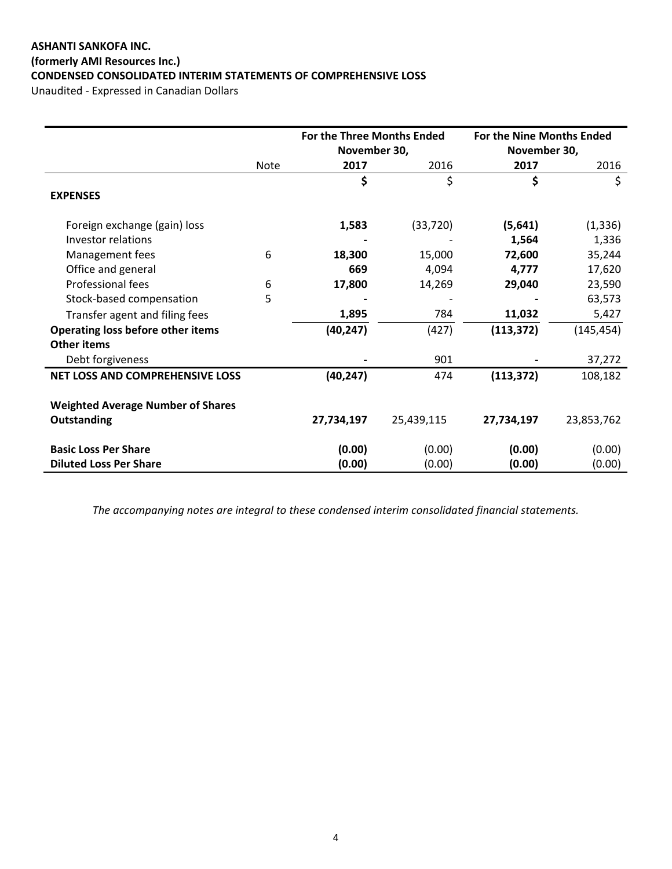# **ASHANTI SANKOFA INC. (formerly AMI Resources Inc.) CONDENSED CONSOLIDATED INTERIM STATEMENTS OF COMPREHENSIVE LOSS**

Unaudited - Expressed in Canadian Dollars

|                                          |             | For the Three Months Ended |            | For the Nine Months Ended |            |
|------------------------------------------|-------------|----------------------------|------------|---------------------------|------------|
|                                          |             | November 30,               |            | November 30,              |            |
|                                          | <b>Note</b> | 2017                       | 2016       | 2017                      | 2016       |
|                                          |             | \$                         | \$         | \$                        | \$         |
| <b>EXPENSES</b>                          |             |                            |            |                           |            |
| Foreign exchange (gain) loss             |             | 1,583                      | (33, 720)  | (5,641)                   | (1, 336)   |
| Investor relations                       |             |                            |            | 1,564                     | 1,336      |
| Management fees                          | 6           | 18,300                     | 15,000     | 72,600                    | 35,244     |
| Office and general                       |             | 669                        | 4,094      | 4,777                     | 17,620     |
| Professional fees                        | 6           | 17,800                     | 14,269     | 29,040                    | 23,590     |
| Stock-based compensation                 | 5           |                            |            |                           | 63,573     |
| Transfer agent and filing fees           |             | 1,895                      | 784        | 11,032                    | 5,427      |
| <b>Operating loss before other items</b> |             | (40, 247)                  | (427)      | (113, 372)                | (145, 454) |
| <b>Other items</b>                       |             |                            |            |                           |            |
| Debt forgiveness                         |             |                            | 901        |                           | 37,272     |
| <b>NET LOSS AND COMPREHENSIVE LOSS</b>   |             | (40, 247)                  | 474        | (113, 372)                | 108,182    |
|                                          |             |                            |            |                           |            |
| <b>Weighted Average Number of Shares</b> |             |                            |            |                           |            |
| Outstanding                              |             | 27,734,197                 | 25,439,115 | 27,734,197                | 23,853,762 |
| <b>Basic Loss Per Share</b>              |             | (0.00)                     | (0.00)     | (0.00)                    | (0.00)     |
| <b>Diluted Loss Per Share</b>            |             | (0.00)                     | (0.00)     | (0.00)                    | (0.00)     |

*The accompanying notes are integral to these condensed interim consolidated financial statements.*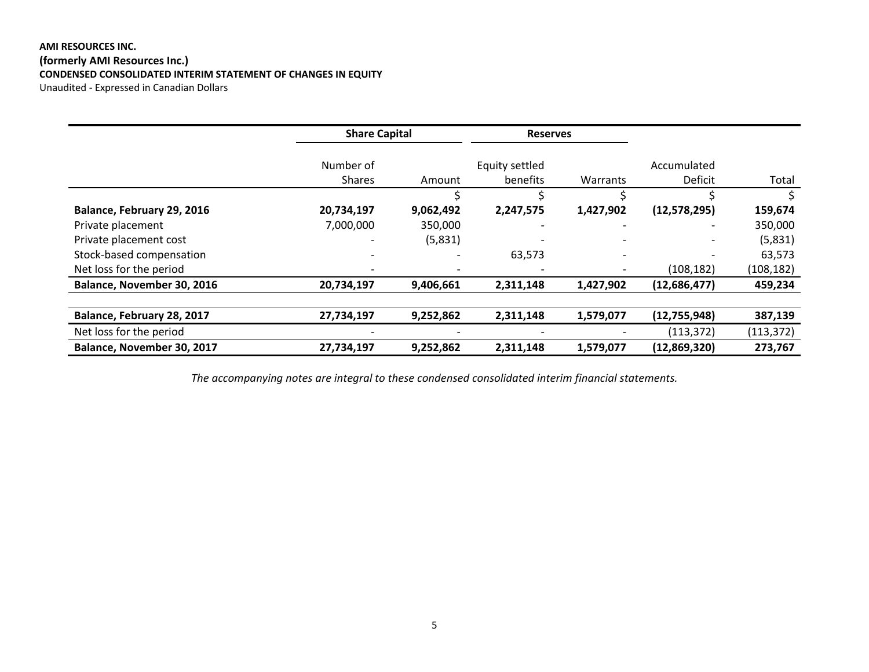## **AMI RESOURCES INC. (formerly AMI Resources Inc.) CONDENSED CONSOLIDATED INTERIM STATEMENT OF CHANGES IN EQUITY** Unaudited - Expressed in Canadian Dollars

|                            | <b>Share Capital</b> |           | <b>Reserves</b>          |           |              |            |
|----------------------------|----------------------|-----------|--------------------------|-----------|--------------|------------|
|                            | Number of            |           | Equity settled           |           | Accumulated  |            |
|                            | <b>Shares</b>        | Amount    | benefits                 | Warrants  | Deficit      | Total      |
|                            |                      |           | Ś                        |           |              |            |
| Balance, February 29, 2016 | 20,734,197           | 9,062,492 | 2,247,575                | 1,427,902 | (12,578,295) | 159,674    |
| Private placement          | 7,000,000            | 350,000   | $\overline{\phantom{a}}$ |           |              | 350,000    |
| Private placement cost     |                      | (5,831)   |                          |           |              | (5,831)    |
| Stock-based compensation   |                      |           | 63,573                   |           |              | 63,573     |
| Net loss for the period    |                      |           |                          |           | (108, 182)   | (108, 182) |
| Balance, November 30, 2016 | 20,734,197           | 9,406,661 | 2,311,148                | 1,427,902 | (12,686,477) | 459,234    |
| Balance, February 28, 2017 | 27,734,197           | 9,252,862 | 2,311,148                | 1,579,077 | (12,755,948) | 387,139    |
|                            |                      |           |                          |           |              |            |
| Net loss for the period    |                      |           |                          |           | (113, 372)   | (113, 372) |
| Balance, November 30, 2017 | 27,734,197           | 9,252,862 | 2,311,148                | 1,579,077 | (12,869,320) | 273,767    |

*The accompanying notes are integral to these condensed consolidated interim financial statements.*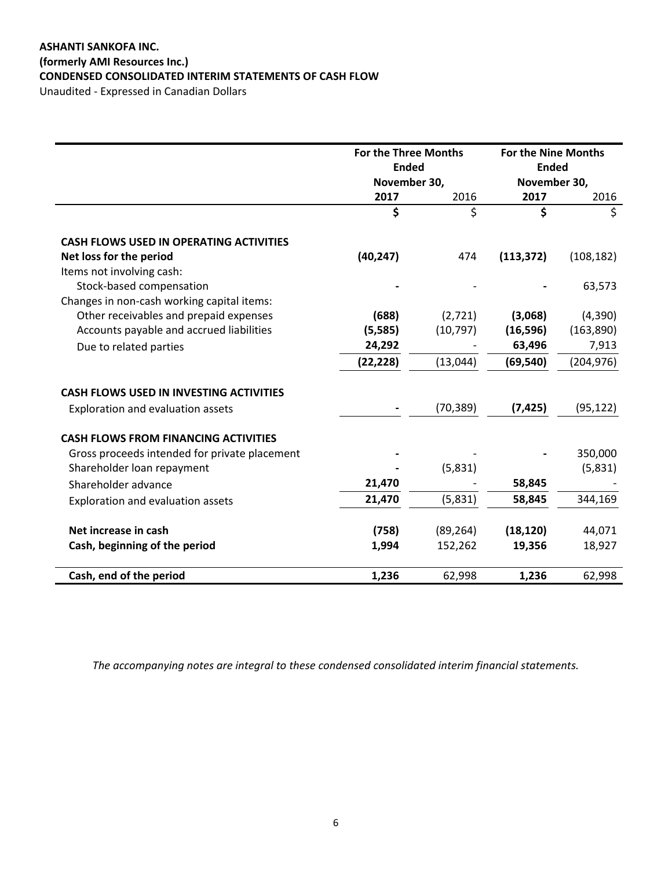# **ASHANTI SANKOFA INC. (formerly AMI Resources Inc.) CONDENSED CONSOLIDATED INTERIM STATEMENTS OF CASH FLOW**

Unaudited - Expressed in Canadian Dollars

|                                                | <b>For the Three Months</b> |           | For the Nine Months |            |
|------------------------------------------------|-----------------------------|-----------|---------------------|------------|
|                                                | <b>Ended</b>                |           | <b>Ended</b>        |            |
|                                                | November 30,                |           | November 30,        |            |
|                                                | 2017                        | 2016      | 2017                | 2016       |
|                                                | \$                          | \$        | \$                  | \$         |
| <b>CASH FLOWS USED IN OPERATING ACTIVITIES</b> |                             |           |                     |            |
| Net loss for the period                        | (40, 247)                   | 474       | (113, 372)          | (108, 182) |
| Items not involving cash:                      |                             |           |                     |            |
| Stock-based compensation                       |                             |           |                     | 63,573     |
| Changes in non-cash working capital items:     |                             |           |                     |            |
| Other receivables and prepaid expenses         | (688)                       | (2,721)   | (3,068)             | (4,390)    |
| Accounts payable and accrued liabilities       | (5,585)                     | (10, 797) | (16, 596)           | (163, 890) |
| Due to related parties                         | 24,292                      |           | 63,496              | 7,913      |
|                                                | (22, 228)                   | (13, 044) | (69, 540)           | (204, 976) |
| <b>CASH FLOWS USED IN INVESTING ACTIVITIES</b> |                             |           |                     |            |
| Exploration and evaluation assets              |                             | (70, 389) | (7, 425)            | (95, 122)  |
| <b>CASH FLOWS FROM FINANCING ACTIVITIES</b>    |                             |           |                     |            |
| Gross proceeds intended for private placement  |                             |           |                     | 350,000    |
| Shareholder loan repayment                     |                             | (5,831)   |                     | (5,831)    |
| Shareholder advance                            | 21,470                      |           | 58,845              |            |
| Exploration and evaluation assets              | 21,470                      | (5,831)   | 58,845              | 344,169    |
| Net increase in cash                           | (758)                       | (89, 264) | (18, 120)           | 44,071     |
| Cash, beginning of the period                  | 1,994                       | 152,262   | 19,356              | 18,927     |
| Cash, end of the period                        | 1,236                       | 62,998    | 1,236               | 62,998     |

*The accompanying notes are integral to these condensed consolidated interim financial statements.*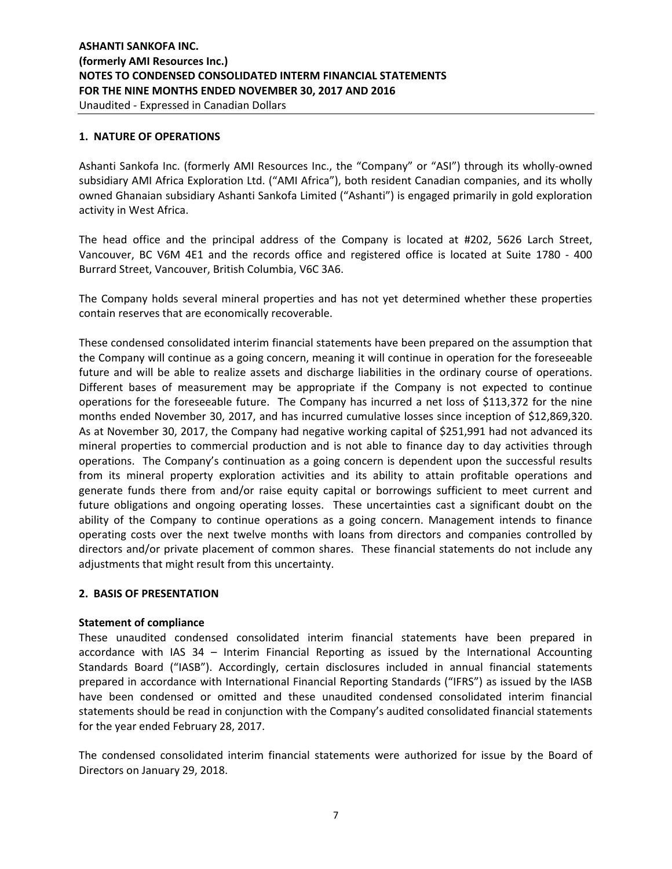#### **1. NATURE OF OPERATIONS**

Ashanti Sankofa Inc. (formerly AMI Resources Inc., the "Company" or "ASI") through its wholly-owned subsidiary AMI Africa Exploration Ltd. ("AMI Africa"), both resident Canadian companies, and its wholly owned Ghanaian subsidiary Ashanti Sankofa Limited ("Ashanti") is engaged primarily in gold exploration activity in West Africa.

The head office and the principal address of the Company is located at #202, 5626 Larch Street, Vancouver, BC V6M 4E1 and the records office and registered office is located at Suite 1780 - 400 Burrard Street, Vancouver, British Columbia, V6C 3A6.

The Company holds several mineral properties and has not yet determined whether these properties contain reserves that are economically recoverable.

These condensed consolidated interim financial statements have been prepared on the assumption that the Company will continue as a going concern, meaning it will continue in operation for the foreseeable future and will be able to realize assets and discharge liabilities in the ordinary course of operations. Different bases of measurement may be appropriate if the Company is not expected to continue operations for the foreseeable future. The Company has incurred a net loss of \$113,372 for the nine months ended November 30, 2017, and has incurred cumulative losses since inception of \$12,869,320. As at November 30, 2017, the Company had negative working capital of \$251,991 had not advanced its mineral properties to commercial production and is not able to finance day to day activities through operations. The Company's continuation as a going concern is dependent upon the successful results from its mineral property exploration activities and its ability to attain profitable operations and generate funds there from and/or raise equity capital or borrowings sufficient to meet current and future obligations and ongoing operating losses. These uncertainties cast a significant doubt on the ability of the Company to continue operations as a going concern. Management intends to finance operating costs over the next twelve months with loans from directors and companies controlled by directors and/or private placement of common shares. These financial statements do not include any adjustments that might result from this uncertainty.

### **2. BASIS OF PRESENTATION**

#### **Statement of compliance**

These unaudited condensed consolidated interim financial statements have been prepared in accordance with IAS 34 – Interim Financial Reporting as issued by the International Accounting Standards Board ("IASB"). Accordingly, certain disclosures included in annual financial statements prepared in accordance with International Financial Reporting Standards ("IFRS") as issued by the IASB have been condensed or omitted and these unaudited condensed consolidated interim financial statements should be read in conjunction with the Company's audited consolidated financial statements for the year ended February 28, 2017.

The condensed consolidated interim financial statements were authorized for issue by the Board of Directors on January 29, 2018.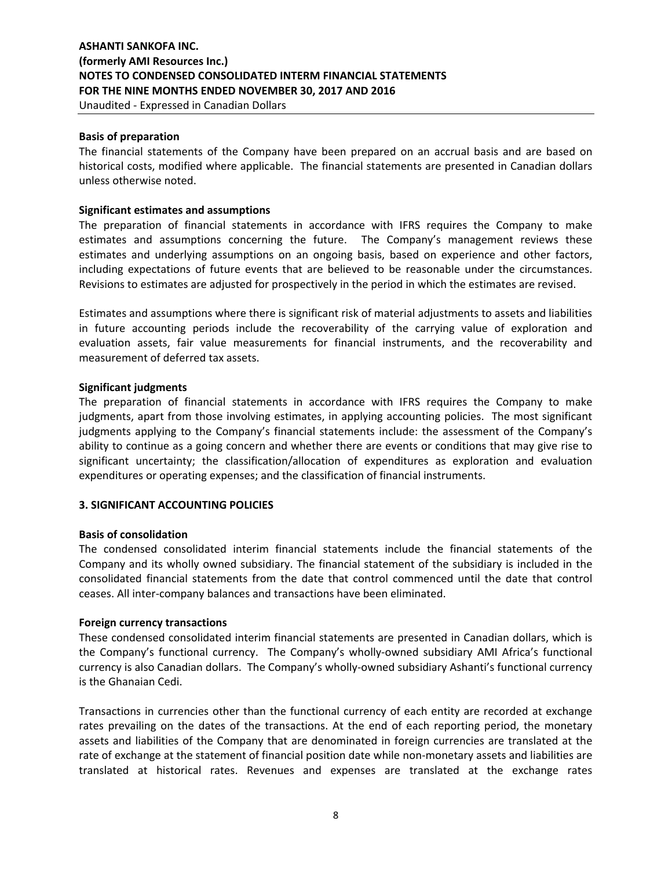Unaudited - Expressed in Canadian Dollars

#### **Basis of preparation**

The financial statements of the Company have been prepared on an accrual basis and are based on historical costs, modified where applicable. The financial statements are presented in Canadian dollars unless otherwise noted.

#### **Significant estimates and assumptions**

The preparation of financial statements in accordance with IFRS requires the Company to make estimates and assumptions concerning the future. The Company's management reviews these estimates and underlying assumptions on an ongoing basis, based on experience and other factors, including expectations of future events that are believed to be reasonable under the circumstances. Revisions to estimates are adjusted for prospectively in the period in which the estimates are revised.

Estimates and assumptions where there is significant risk of material adjustments to assets and liabilities in future accounting periods include the recoverability of the carrying value of exploration and evaluation assets, fair value measurements for financial instruments, and the recoverability and measurement of deferred tax assets.

#### **Significant judgments**

The preparation of financial statements in accordance with IFRS requires the Company to make judgments, apart from those involving estimates, in applying accounting policies. The most significant judgments applying to the Company's financial statements include: the assessment of the Company's ability to continue as a going concern and whether there are events or conditions that may give rise to significant uncertainty; the classification/allocation of expenditures as exploration and evaluation expenditures or operating expenses; and the classification of financial instruments.

### **3. SIGNIFICANT ACCOUNTING POLICIES**

#### **Basis of consolidation**

The condensed consolidated interim financial statements include the financial statements of the Company and its wholly owned subsidiary. The financial statement of the subsidiary is included in the consolidated financial statements from the date that control commenced until the date that control ceases. All inter-company balances and transactions have been eliminated.

#### **Foreign currency transactions**

These condensed consolidated interim financial statements are presented in Canadian dollars, which is the Company's functional currency. The Company's wholly-owned subsidiary AMI Africa's functional currency is also Canadian dollars. The Company's wholly-owned subsidiary Ashanti's functional currency is the Ghanaian Cedi.

Transactions in currencies other than the functional currency of each entity are recorded at exchange rates prevailing on the dates of the transactions. At the end of each reporting period, the monetary assets and liabilities of the Company that are denominated in foreign currencies are translated at the rate of exchange at the statement of financial position date while non-monetary assets and liabilities are translated at historical rates. Revenues and expenses are translated at the exchange rates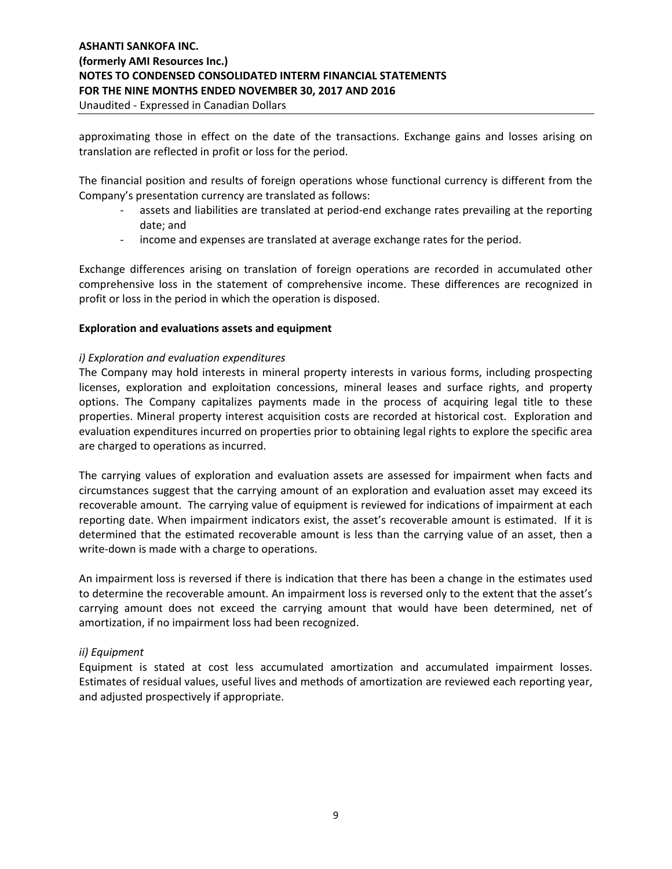approximating those in effect on the date of the transactions. Exchange gains and losses arising on translation are reflected in profit or loss for the period.

The financial position and results of foreign operations whose functional currency is different from the Company's presentation currency are translated as follows:

- assets and liabilities are translated at period-end exchange rates prevailing at the reporting date; and
- income and expenses are translated at average exchange rates for the period.

Exchange differences arising on translation of foreign operations are recorded in accumulated other comprehensive loss in the statement of comprehensive income. These differences are recognized in profit or loss in the period in which the operation is disposed.

### **Exploration and evaluations assets and equipment**

## *i) Exploration and evaluation expenditures*

The Company may hold interests in mineral property interests in various forms, including prospecting licenses, exploration and exploitation concessions, mineral leases and surface rights, and property options. The Company capitalizes payments made in the process of acquiring legal title to these properties. Mineral property interest acquisition costs are recorded at historical cost. Exploration and evaluation expenditures incurred on properties prior to obtaining legal rights to explore the specific area are charged to operations as incurred.

The carrying values of exploration and evaluation assets are assessed for impairment when facts and circumstances suggest that the carrying amount of an exploration and evaluation asset may exceed its recoverable amount. The carrying value of equipment is reviewed for indications of impairment at each reporting date. When impairment indicators exist, the asset's recoverable amount is estimated. If it is determined that the estimated recoverable amount is less than the carrying value of an asset, then a write-down is made with a charge to operations.

An impairment loss is reversed if there is indication that there has been a change in the estimates used to determine the recoverable amount. An impairment loss is reversed only to the extent that the asset's carrying amount does not exceed the carrying amount that would have been determined, net of amortization, if no impairment loss had been recognized.

# *ii) Equipment*

Equipment is stated at cost less accumulated amortization and accumulated impairment losses. Estimates of residual values, useful lives and methods of amortization are reviewed each reporting year, and adjusted prospectively if appropriate.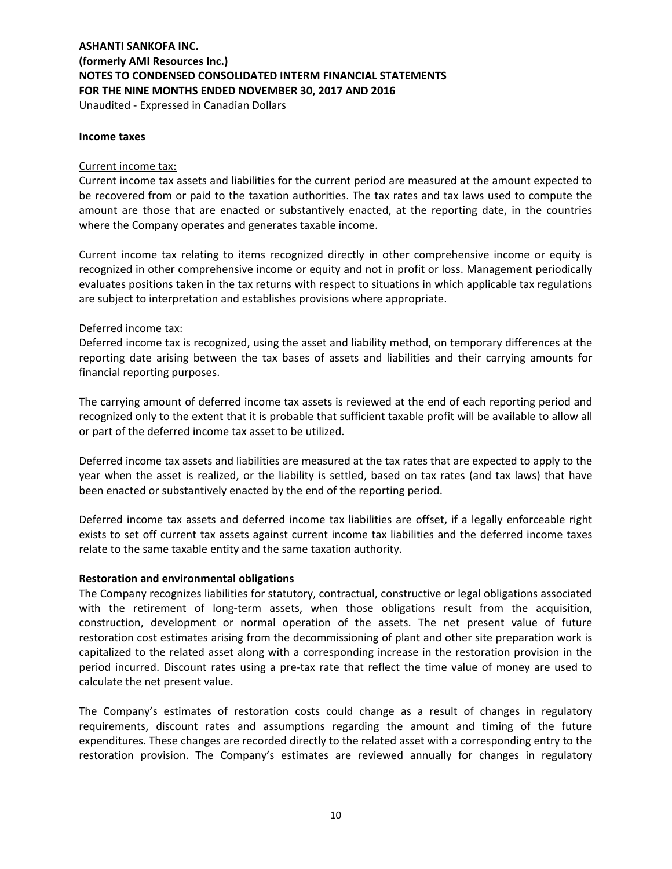**Income taxes** 

#### Current income tax:

Current income tax assets and liabilities for the current period are measured at the amount expected to be recovered from or paid to the taxation authorities. The tax rates and tax laws used to compute the amount are those that are enacted or substantively enacted, at the reporting date, in the countries where the Company operates and generates taxable income.

Current income tax relating to items recognized directly in other comprehensive income or equity is recognized in other comprehensive income or equity and not in profit or loss. Management periodically evaluates positions taken in the tax returns with respect to situations in which applicable tax regulations are subject to interpretation and establishes provisions where appropriate.

#### Deferred income tax:

Deferred income tax is recognized, using the asset and liability method, on temporary differences at the reporting date arising between the tax bases of assets and liabilities and their carrying amounts for financial reporting purposes.

The carrying amount of deferred income tax assets is reviewed at the end of each reporting period and recognized only to the extent that it is probable that sufficient taxable profit will be available to allow all or part of the deferred income tax asset to be utilized.

Deferred income tax assets and liabilities are measured at the tax rates that are expected to apply to the year when the asset is realized, or the liability is settled, based on tax rates (and tax laws) that have been enacted or substantively enacted by the end of the reporting period.

Deferred income tax assets and deferred income tax liabilities are offset, if a legally enforceable right exists to set off current tax assets against current income tax liabilities and the deferred income taxes relate to the same taxable entity and the same taxation authority.

#### **Restoration and environmental obligations**

The Company recognizes liabilities for statutory, contractual, constructive or legal obligations associated with the retirement of long-term assets, when those obligations result from the acquisition, construction, development or normal operation of the assets. The net present value of future restoration cost estimates arising from the decommissioning of plant and other site preparation work is capitalized to the related asset along with a corresponding increase in the restoration provision in the period incurred. Discount rates using a pre-tax rate that reflect the time value of money are used to calculate the net present value.

The Company's estimates of restoration costs could change as a result of changes in regulatory requirements, discount rates and assumptions regarding the amount and timing of the future expenditures. These changes are recorded directly to the related asset with a corresponding entry to the restoration provision. The Company's estimates are reviewed annually for changes in regulatory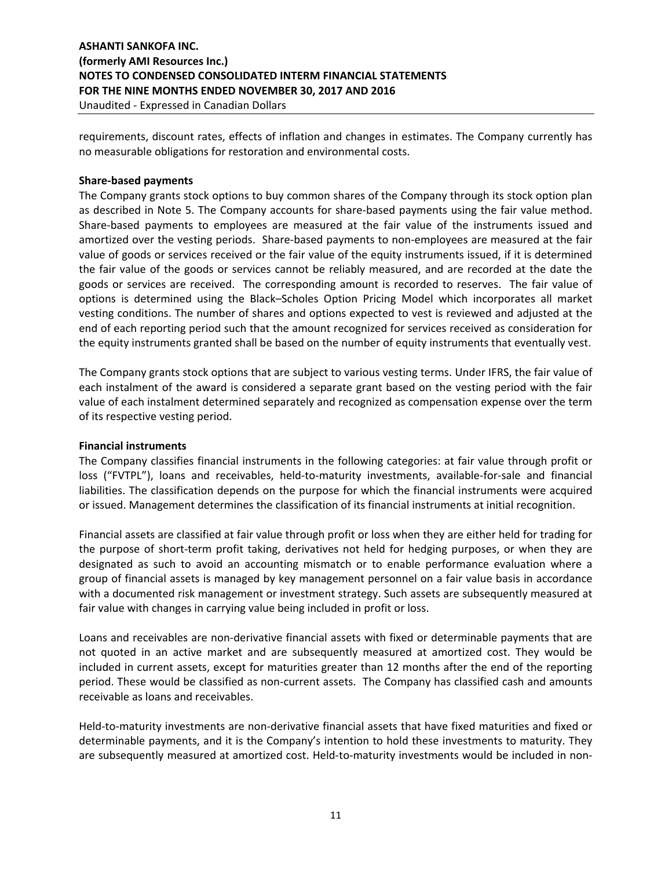# **ASHANTI SANKOFA INC. (formerly AMI Resources Inc.) NOTES TO CONDENSED CONSOLIDATED INTERM FINANCIAL STATEMENTS FOR THE NINE MONTHS ENDED NOVEMBER 30, 2017 AND 2016** Unaudited - Expressed in Canadian Dollars

requirements, discount rates, effects of inflation and changes in estimates. The Company currently has no measurable obligations for restoration and environmental costs.

# **Share-based payments**

The Company grants stock options to buy common shares of the Company through its stock option plan as described in Note 5. The Company accounts for share-based payments using the fair value method. Share-based payments to employees are measured at the fair value of the instruments issued and amortized over the vesting periods. Share-based payments to non-employees are measured at the fair value of goods or services received or the fair value of the equity instruments issued, if it is determined the fair value of the goods or services cannot be reliably measured, and are recorded at the date the goods or services are received. The corresponding amount is recorded to reserves. The fair value of options is determined using the Black–Scholes Option Pricing Model which incorporates all market vesting conditions. The number of shares and options expected to vest is reviewed and adjusted at the end of each reporting period such that the amount recognized for services received as consideration for the equity instruments granted shall be based on the number of equity instruments that eventually vest.

The Company grants stock options that are subject to various vesting terms. Under IFRS, the fair value of each instalment of the award is considered a separate grant based on the vesting period with the fair value of each instalment determined separately and recognized as compensation expense over the term of its respective vesting period.

# **Financial instruments**

The Company classifies financial instruments in the following categories: at fair value through profit or loss ("FVTPL"), loans and receivables, held-to-maturity investments, available-for-sale and financial liabilities. The classification depends on the purpose for which the financial instruments were acquired or issued. Management determines the classification of its financial instruments at initial recognition.

Financial assets are classified at fair value through profit or loss when they are either held for trading for the purpose of short-term profit taking, derivatives not held for hedging purposes, or when they are designated as such to avoid an accounting mismatch or to enable performance evaluation where a group of financial assets is managed by key management personnel on a fair value basis in accordance with a documented risk management or investment strategy. Such assets are subsequently measured at fair value with changes in carrying value being included in profit or loss.

Loans and receivables are non-derivative financial assets with fixed or determinable payments that are not quoted in an active market and are subsequently measured at amortized cost. They would be included in current assets, except for maturities greater than 12 months after the end of the reporting period. These would be classified as non-current assets. The Company has classified cash and amounts receivable as loans and receivables.

Held-to-maturity investments are non-derivative financial assets that have fixed maturities and fixed or determinable payments, and it is the Company's intention to hold these investments to maturity. They are subsequently measured at amortized cost. Held-to-maturity investments would be included in non-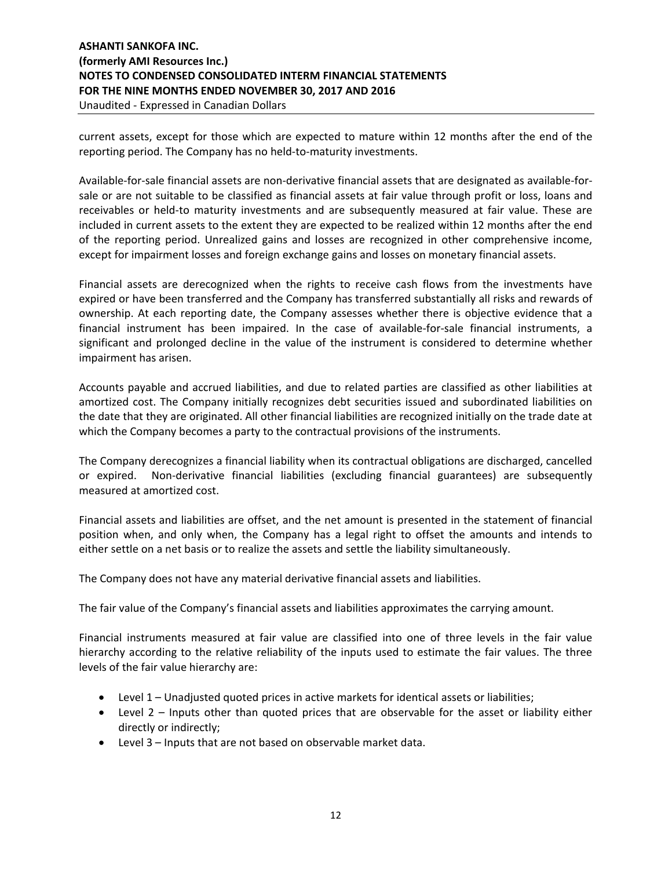# **ASHANTI SANKOFA INC. (formerly AMI Resources Inc.) NOTES TO CONDENSED CONSOLIDATED INTERM FINANCIAL STATEMENTS FOR THE NINE MONTHS ENDED NOVEMBER 30, 2017 AND 2016** Unaudited - Expressed in Canadian Dollars

current assets, except for those which are expected to mature within 12 months after the end of the reporting period. The Company has no held-to-maturity investments.

Available-for-sale financial assets are non-derivative financial assets that are designated as available-forsale or are not suitable to be classified as financial assets at fair value through profit or loss, loans and receivables or held-to maturity investments and are subsequently measured at fair value. These are included in current assets to the extent they are expected to be realized within 12 months after the end of the reporting period. Unrealized gains and losses are recognized in other comprehensive income, except for impairment losses and foreign exchange gains and losses on monetary financial assets.

Financial assets are derecognized when the rights to receive cash flows from the investments have expired or have been transferred and the Company has transferred substantially all risks and rewards of ownership. At each reporting date, the Company assesses whether there is objective evidence that a financial instrument has been impaired. In the case of available-for-sale financial instruments, a significant and prolonged decline in the value of the instrument is considered to determine whether impairment has arisen.

Accounts payable and accrued liabilities, and due to related parties are classified as other liabilities at amortized cost. The Company initially recognizes debt securities issued and subordinated liabilities on the date that they are originated. All other financial liabilities are recognized initially on the trade date at which the Company becomes a party to the contractual provisions of the instruments.

The Company derecognizes a financial liability when its contractual obligations are discharged, cancelled or expired. Non-derivative financial liabilities (excluding financial guarantees) are subsequently measured at amortized cost.

Financial assets and liabilities are offset, and the net amount is presented in the statement of financial position when, and only when, the Company has a legal right to offset the amounts and intends to either settle on a net basis or to realize the assets and settle the liability simultaneously.

The Company does not have any material derivative financial assets and liabilities.

The fair value of the Company's financial assets and liabilities approximates the carrying amount.

Financial instruments measured at fair value are classified into one of three levels in the fair value hierarchy according to the relative reliability of the inputs used to estimate the fair values. The three levels of the fair value hierarchy are:

- Level 1 Unadjusted quoted prices in active markets for identical assets or liabilities;
- Level 2 Inputs other than quoted prices that are observable for the asset or liability either directly or indirectly;
- Level 3 Inputs that are not based on observable market data.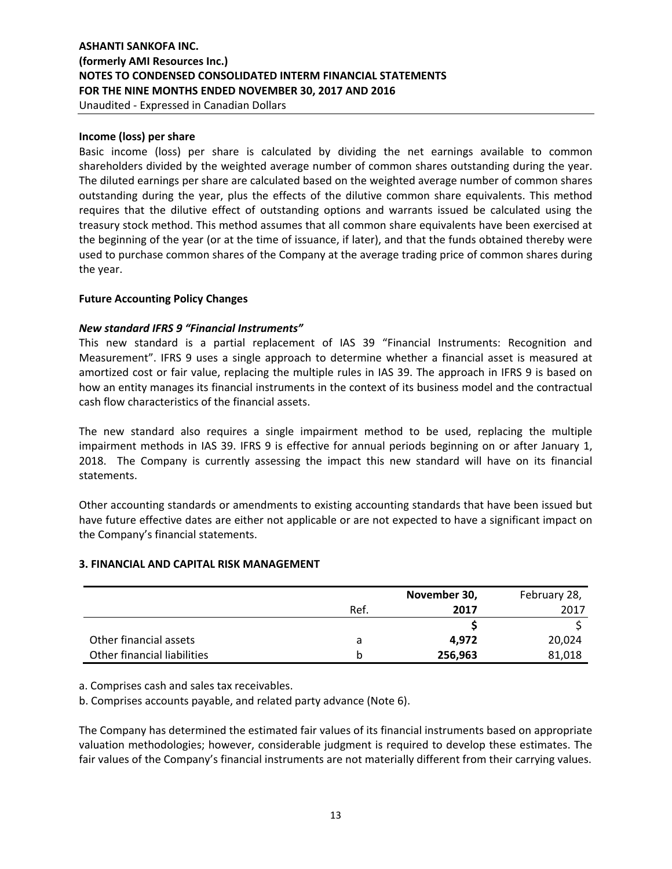Unaudited - Expressed in Canadian Dollars

#### **Income (loss) per share**

Basic income (loss) per share is calculated by dividing the net earnings available to common shareholders divided by the weighted average number of common shares outstanding during the year. The diluted earnings per share are calculated based on the weighted average number of common shares outstanding during the year, plus the effects of the dilutive common share equivalents. This method requires that the dilutive effect of outstanding options and warrants issued be calculated using the treasury stock method. This method assumes that all common share equivalents have been exercised at the beginning of the year (or at the time of issuance, if later), and that the funds obtained thereby were used to purchase common shares of the Company at the average trading price of common shares during the year.

### **Future Accounting Policy Changes**

#### *New standard IFRS 9 "Financial Instruments"*

This new standard is a partial replacement of IAS 39 "Financial Instruments: Recognition and Measurement". IFRS 9 uses a single approach to determine whether a financial asset is measured at amortized cost or fair value, replacing the multiple rules in IAS 39. The approach in IFRS 9 is based on how an entity manages its financial instruments in the context of its business model and the contractual cash flow characteristics of the financial assets.

The new standard also requires a single impairment method to be used, replacing the multiple impairment methods in IAS 39. IFRS 9 is effective for annual periods beginning on or after January 1, 2018. The Company is currently assessing the impact this new standard will have on its financial statements.

Other accounting standards or amendments to existing accounting standards that have been issued but have future effective dates are either not applicable or are not expected to have a significant impact on the Company's financial statements.

#### **3. FINANCIAL AND CAPITAL RISK MANAGEMENT**

|                             |      | February 28, |        |
|-----------------------------|------|--------------|--------|
|                             | Ref. | 2017         | 2017   |
|                             |      |              |        |
| Other financial assets      | a    | 4.972        | 20.024 |
| Other financial liabilities | b    | 256,963      | 81,018 |

a. Comprises cash and sales tax receivables.

b. Comprises accounts payable, and related party advance (Note 6).

The Company has determined the estimated fair values of its financial instruments based on appropriate valuation methodologies; however, considerable judgment is required to develop these estimates. The fair values of the Company's financial instruments are not materially different from their carrying values.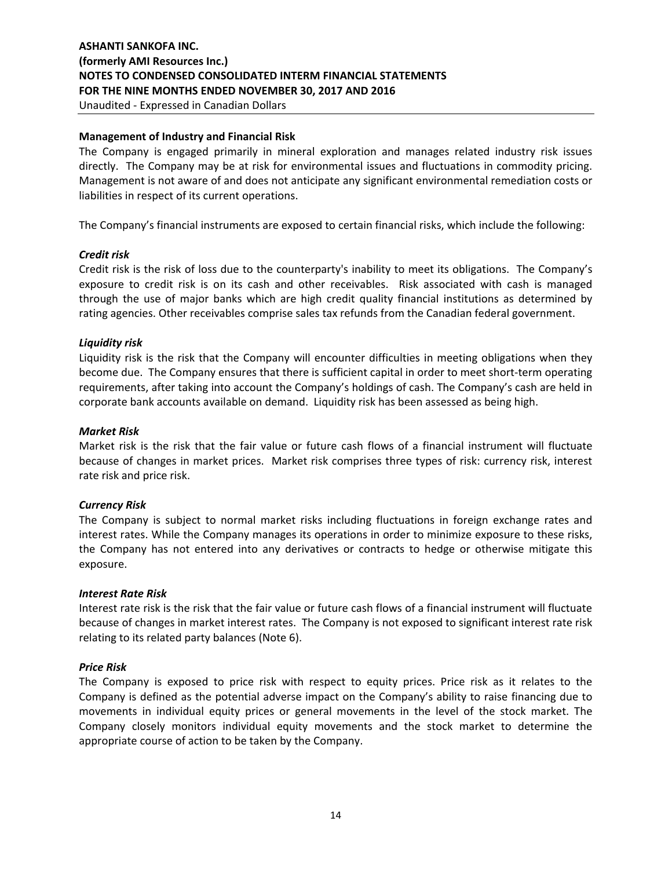#### **Management of Industry and Financial Risk**

The Company is engaged primarily in mineral exploration and manages related industry risk issues directly. The Company may be at risk for environmental issues and fluctuations in commodity pricing. Management is not aware of and does not anticipate any significant environmental remediation costs or liabilities in respect of its current operations.

The Company's financial instruments are exposed to certain financial risks, which include the following:

#### *Credit risk*

Credit risk is the risk of loss due to the counterparty's inability to meet its obligations. The Company's exposure to credit risk is on its cash and other receivables. Risk associated with cash is managed through the use of major banks which are high credit quality financial institutions as determined by rating agencies. Other receivables comprise sales tax refunds from the Canadian federal government.

#### *Liquidity risk*

Liquidity risk is the risk that the Company will encounter difficulties in meeting obligations when they become due. The Company ensures that there is sufficient capital in order to meet short-term operating requirements, after taking into account the Company's holdings of cash. The Company's cash are held in corporate bank accounts available on demand. Liquidity risk has been assessed as being high.

#### *Market Risk*

Market risk is the risk that the fair value or future cash flows of a financial instrument will fluctuate because of changes in market prices. Market risk comprises three types of risk: currency risk, interest rate risk and price risk.

### *Currency Risk*

The Company is subject to normal market risks including fluctuations in foreign exchange rates and interest rates. While the Company manages its operations in order to minimize exposure to these risks, the Company has not entered into any derivatives or contracts to hedge or otherwise mitigate this exposure.

#### *Interest Rate Risk*

Interest rate risk is the risk that the fair value or future cash flows of a financial instrument will fluctuate because of changes in market interest rates. The Company is not exposed to significant interest rate risk relating to its related party balances (Note 6).

#### *Price Risk*

The Company is exposed to price risk with respect to equity prices. Price risk as it relates to the Company is defined as the potential adverse impact on the Company's ability to raise financing due to movements in individual equity prices or general movements in the level of the stock market. The Company closely monitors individual equity movements and the stock market to determine the appropriate course of action to be taken by the Company.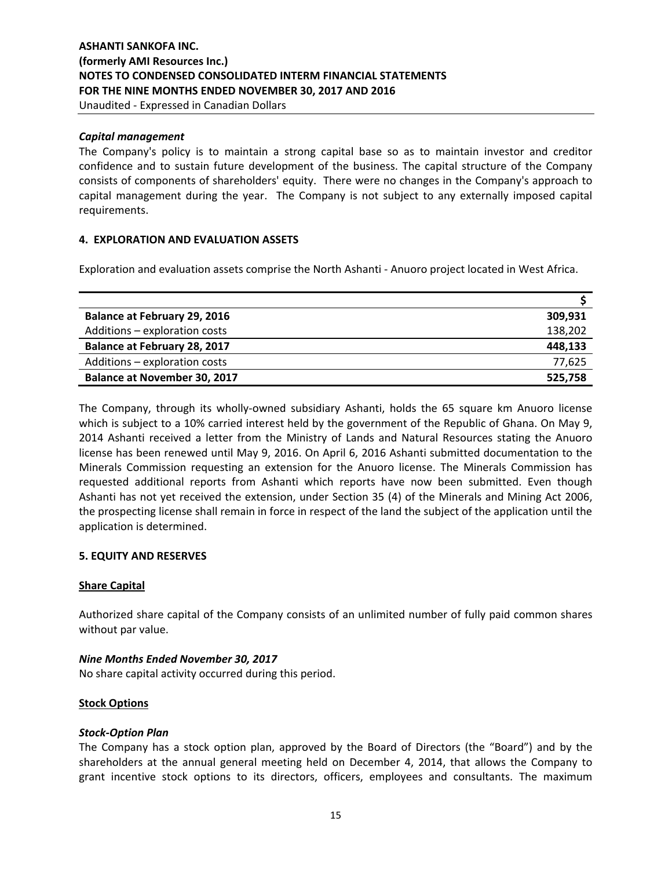Unaudited - Expressed in Canadian Dollars

#### *Capital management*

The Company's policy is to maintain a strong capital base so as to maintain investor and creditor confidence and to sustain future development of the business. The capital structure of the Company consists of components of shareholders' equity. There were no changes in the Company's approach to capital management during the year. The Company is not subject to any externally imposed capital requirements.

#### **4. EXPLORATION AND EVALUATION ASSETS**

Exploration and evaluation assets comprise the North Ashanti - Anuoro project located in West Africa.

| <b>Balance at February 29, 2016</b> | 309,931 |
|-------------------------------------|---------|
| Additions - exploration costs       | 138,202 |
| <b>Balance at February 28, 2017</b> | 448,133 |
| Additions - exploration costs       | 77,625  |
| <b>Balance at November 30, 2017</b> | 525,758 |

The Company, through its wholly-owned subsidiary Ashanti, holds the 65 square km Anuoro license which is subject to a 10% carried interest held by the government of the Republic of Ghana. On May 9, 2014 Ashanti received a letter from the Ministry of Lands and Natural Resources stating the Anuoro license has been renewed until May 9, 2016. On April 6, 2016 Ashanti submitted documentation to the Minerals Commission requesting an extension for the Anuoro license. The Minerals Commission has requested additional reports from Ashanti which reports have now been submitted. Even though Ashanti has not yet received the extension, under Section 35 (4) of the Minerals and Mining Act 2006, the prospecting license shall remain in force in respect of the land the subject of the application until the application is determined.

### **5. EQUITY AND RESERVES**

#### **Share Capital**

Authorized share capital of the Company consists of an unlimited number of fully paid common shares without par value.

#### *Nine Months Ended November 30, 2017*

No share capital activity occurred during this period.

### **Stock Options**

### *Stock-Option Plan*

The Company has a stock option plan, approved by the Board of Directors (the "Board") and by the shareholders at the annual general meeting held on December 4, 2014, that allows the Company to grant incentive stock options to its directors, officers, employees and consultants. The maximum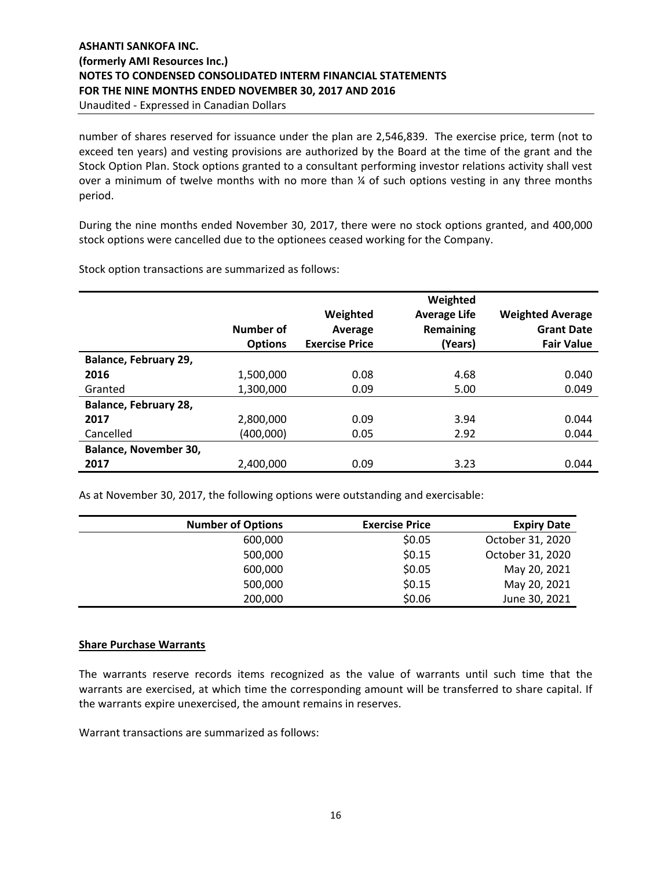Unaudited - Expressed in Canadian Dollars

number of shares reserved for issuance under the plan are 2,546,839. The exercise price, term (not to exceed ten years) and vesting provisions are authorized by the Board at the time of the grant and the Stock Option Plan. Stock options granted to a consultant performing investor relations activity shall vest over a minimum of twelve months with no more than ¼ of such options vesting in any three months period.

During the nine months ended November 30, 2017, there were no stock options granted, and 400,000 stock options were cancelled due to the optionees ceased working for the Company.

|                       | Number of<br><b>Options</b> | Weighted<br>Average<br><b>Exercise Price</b> | Weighted<br><b>Average Life</b><br>Remaining<br>(Years) | <b>Weighted Average</b><br><b>Grant Date</b><br><b>Fair Value</b> |
|-----------------------|-----------------------------|----------------------------------------------|---------------------------------------------------------|-------------------------------------------------------------------|
| Balance, February 29, |                             |                                              |                                                         |                                                                   |
| 2016                  | 1,500,000                   | 0.08                                         | 4.68                                                    | 0.040                                                             |
| Granted               | 1,300,000                   | 0.09                                         | 5.00                                                    | 0.049                                                             |
| Balance, February 28, |                             |                                              |                                                         |                                                                   |
| 2017                  | 2,800,000                   | 0.09                                         | 3.94                                                    | 0.044                                                             |
| Cancelled             | (400,000)                   | 0.05                                         | 2.92                                                    | 0.044                                                             |
| Balance, November 30, |                             |                                              |                                                         |                                                                   |
| 2017                  | 2,400,000                   | 0.09                                         | 3.23                                                    | 0.044                                                             |

Stock option transactions are summarized as follows:

As at November 30, 2017, the following options were outstanding and exercisable:

| <b>Number of Options</b> | <b>Exercise Price</b> | <b>Expiry Date</b> |
|--------------------------|-----------------------|--------------------|
| 600,000                  | \$0.05                | October 31, 2020   |
| 500,000                  | \$0.15                | October 31, 2020   |
| 600,000                  | \$0.05                | May 20, 2021       |
| 500,000                  | \$0.15                | May 20, 2021       |
| 200,000                  | \$0.06                | June 30, 2021      |

#### **Share Purchase Warrants**

The warrants reserve records items recognized as the value of warrants until such time that the warrants are exercised, at which time the corresponding amount will be transferred to share capital. If the warrants expire unexercised, the amount remains in reserves.

Warrant transactions are summarized as follows: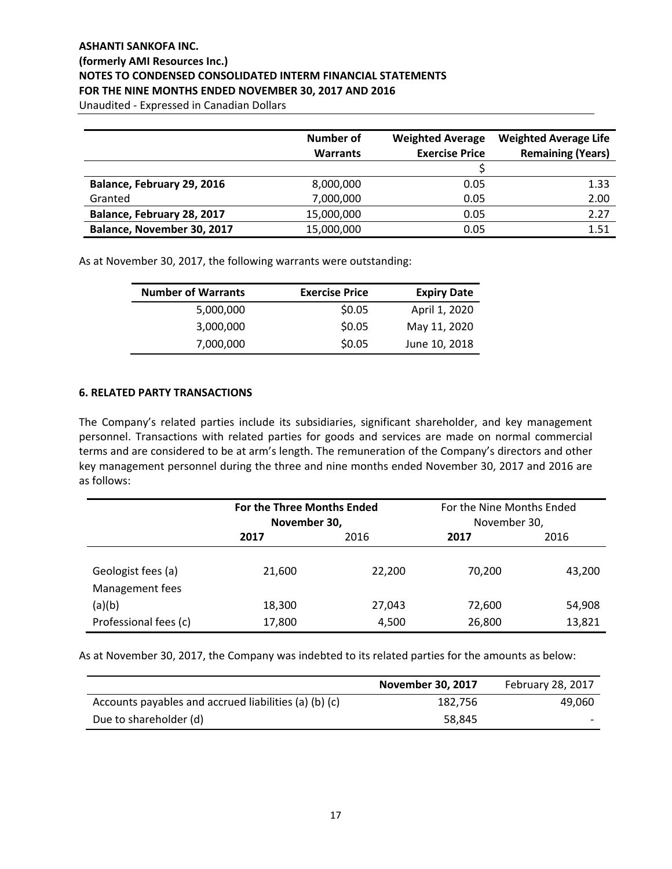Unaudited - Expressed in Canadian Dollars

|                            | <b>Number of</b> | <b>Weighted Average</b> | <b>Weighted Average Life</b> |
|----------------------------|------------------|-------------------------|------------------------------|
|                            | <b>Warrants</b>  | <b>Exercise Price</b>   | <b>Remaining (Years)</b>     |
|                            |                  |                         |                              |
| Balance, February 29, 2016 | 8,000,000        | 0.05                    | 1.33                         |
| Granted                    | 7,000,000        | 0.05                    | 2.00                         |
| Balance, February 28, 2017 | 15,000,000       | 0.05                    | 2.27                         |
| Balance, November 30, 2017 | 15,000,000       | 0.05                    | 1.51                         |

As at November 30, 2017, the following warrants were outstanding:

| <b>Number of Warrants</b> | <b>Exercise Price</b> | <b>Expiry Date</b> |
|---------------------------|-----------------------|--------------------|
| 5,000,000                 | \$0.05                | April 1, 2020      |
| 3,000,000                 | \$0.05                | May 11, 2020       |
| 7,000,000                 | \$0.05                | June 10, 2018      |

#### **6. RELATED PARTY TRANSACTIONS**

The Company's related parties include its subsidiaries, significant shareholder, and key management personnel. Transactions with related parties for goods and services are made on normal commercial terms and are considered to be at arm's length. The remuneration of the Company's directors and other key management personnel during the three and nine months ended November 30, 2017 and 2016 are as follows:

|                                       |        | <b>For the Three Months Ended</b><br>November 30, |        | For the Nine Months Ended<br>November 30, |
|---------------------------------------|--------|---------------------------------------------------|--------|-------------------------------------------|
|                                       | 2017   | 2016                                              | 2017   | 2016                                      |
| Geologist fees (a)<br>Management fees | 21,600 | 22,200                                            | 70.200 | 43,200                                    |
| (a)(b)                                | 18,300 | 27,043                                            | 72,600 | 54,908                                    |
| Professional fees (c)                 | 17,800 | 4,500                                             | 26,800 | 13,821                                    |

As at November 30, 2017, the Company was indebted to its related parties for the amounts as below:

|                                                       | <b>November 30, 2017</b> | <b>February 28, 2017</b> |
|-------------------------------------------------------|--------------------------|--------------------------|
| Accounts payables and accrued liabilities (a) (b) (c) | 182,756                  | 49,060                   |
| Due to shareholder (d)                                | 58,845                   | $\overline{\phantom{0}}$ |